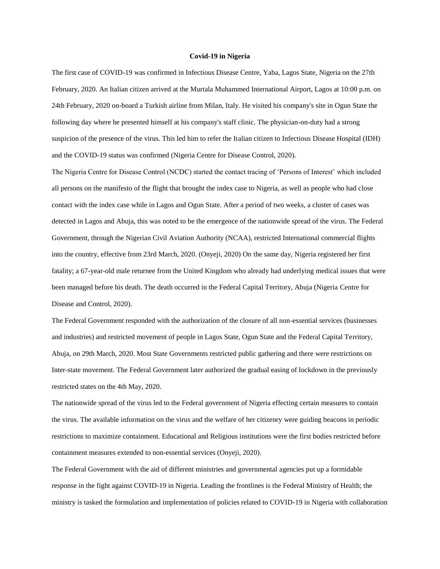## **Covid-19 in Nigeria**

The first case of COVID-19 was confirmed in Infectious Disease Centre, Yaba, Lagos State, Nigeria on the 27th February, 2020. An Italian citizen arrived at the Murtala Muhammed International Airport, Lagos at 10:00 p.m. on 24th February, 2020 on-board a Turkish airline from Milan, Italy. He visited his company's site in Ogun State the following day where he presented himself at his company's staff clinic. The physician-on-duty had a strong suspicion of the presence of the virus. This led him to refer the Italian citizen to Infectious Disease Hospital (IDH) and the COVID-19 status was confirmed (Nigeria Centre for Disease Control, 2020).

The Nigeria Centre for Disease Control (NCDC) started the contact tracing of 'Persons of Interest' which included all persons on the manifesto of the flight that brought the index case to Nigeria, as well as people who had close contact with the index case while in Lagos and Ogun State. After a period of two weeks, a cluster of cases was detected in Lagos and Abuja, this was noted to be the emergence of the nationwide spread of the virus. The Federal Government, through the Nigerian Civil Aviation Authority (NCAA), restricted International commercial flights into the country, effective from 23rd March, 2020. (Onyeji, 2020) On the same day, Nigeria registered her first fatality; a 67-year-old male returnee from the United Kingdom who already had underlying medical issues that were been managed before his death. The death occurred in the Federal Capital Territory, Abuja (Nigeria Centre for Disease and Control, 2020).

The Federal Government responded with the authorization of the closure of all non-essential services (businesses and industries) and restricted movement of people in Lagos State, Ogun State and the Federal Capital Territory, Abuja, on 29th March, 2020. Most State Governments restricted public gathering and there were restrictions on Inter-state movement. The Federal Government later authorized the gradual easing of lockdown in the previously restricted states on the 4th May, 2020.

The nationwide spread of the virus led to the Federal government of Nigeria effecting certain measures to contain the virus. The available information on the virus and the welfare of her citizenry were guiding beacons in periodic restrictions to maximize containment. Educational and Religious institutions were the first bodies restricted before containment measures extended to non-essential services (Onyeji, 2020).

The Federal Government with the aid of different ministries and governmental agencies put up a formidable response in the fight against COVID-19 in Nigeria. Leading the frontlines is the Federal Ministry of Health; the ministry is tasked the formulation and implementation of policies related to COVID-19 in Nigeria with collaboration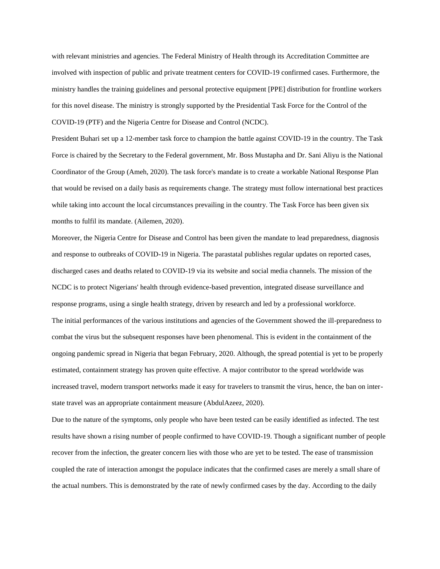with relevant ministries and agencies. The Federal Ministry of Health through its Accreditation Committee are involved with inspection of public and private treatment centers for COVID-19 confirmed cases. Furthermore, the ministry handles the training guidelines and personal protective equipment [PPE] distribution for frontline workers for this novel disease. The ministry is strongly supported by the Presidential Task Force for the Control of the COVID-19 (PTF) and the Nigeria Centre for Disease and Control (NCDC).

President Buhari set up a 12-member task force to champion the battle against COVID-19 in the country. The Task Force is chaired by the Secretary to the Federal government, Mr. Boss Mustapha and Dr. Sani Aliyu is the National Coordinator of the Group (Ameh, 2020). The task force's mandate is to create a workable National Response Plan that would be revised on a daily basis as requirements change. The strategy must follow international best practices while taking into account the local circumstances prevailing in the country. The Task Force has been given six months to fulfil its mandate. (Ailemen, 2020).

Moreover, the Nigeria Centre for Disease and Control has been given the mandate to lead preparedness, diagnosis and response to outbreaks of COVID-19 in Nigeria. The parastatal publishes regular updates on reported cases, discharged cases and deaths related to COVID-19 via its website and social media channels. The mission of the NCDC is to protect Nigerians' health through evidence-based prevention, integrated disease surveillance and response programs, using a single health strategy, driven by research and led by a professional workforce. The initial performances of the various institutions and agencies of the Government showed the ill-preparedness to combat the virus but the subsequent responses have been phenomenal. This is evident in the containment of the ongoing pandemic spread in Nigeria that began February, 2020. Although, the spread potential is yet to be properly estimated, containment strategy has proven quite effective. A major contributor to the spread worldwide was increased travel, modern transport networks made it easy for travelers to transmit the virus, hence, the ban on interstate travel was an appropriate containment measure (AbdulAzeez, 2020).

Due to the nature of the symptoms, only people who have been tested can be easily identified as infected. The test results have shown a rising number of people confirmed to have COVID-19. Though a significant number of people recover from the infection, the greater concern lies with those who are yet to be tested. The ease of transmission coupled the rate of interaction amongst the populace indicates that the confirmed cases are merely a small share of the actual numbers. This is demonstrated by the rate of newly confirmed cases by the day. According to the daily